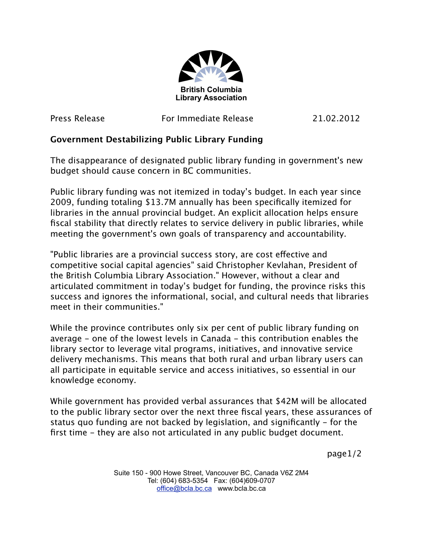

Press Release For Immediate Release 21.02.2012

## **Government Destabilizing Public Library Funding**

The disappearance of designated public library funding in government's new budget should cause concern in BC communities.

Public library funding was not itemized in today's budget. In each year since 2009, funding totaling \$13.7M annually has been specifically itemized for libraries in the annual provincial budget. An explicit allocation helps ensure fiscal stability that directly relates to service delivery in public libraries, while meeting the government's own goals of transparency and accountability.

"Public libraries are a provincial success story, are cost efective and competitive social capital agencies" said Christopher Kevlahan, President of the British Columbia Library Association." However, without a clear and articulated commitment in today's budget for funding, the province risks this success and ignores the informational, social, and cultural needs that libraries meet in their communities."

While the province contributes only six per cent of public library funding on average - one of the lowest levels in Canada - this contribution enables the library sector to leverage vital programs, initiatives, and innovative service delivery mechanisms. This means that both rural and urban library users can all participate in equitable service and access initiatives, so essential in our knowledge economy.

While government has provided verbal assurances that \$42M will be allocated to the public library sector over the next three fiscal years, these assurances of status quo funding are not backed by legislation, and significantly - for the first time - they are also not articulated in any public budget document.

page1/2

Suite 150 - 900 Howe Street, Vancouver BC, Canada V6Z 2M4 Tel: (604) 683-5354 Fax: (604)609-0707 [office@bcla.bc.ca](mailto:office@bcla.bc.ca) www.bcla.bc.ca